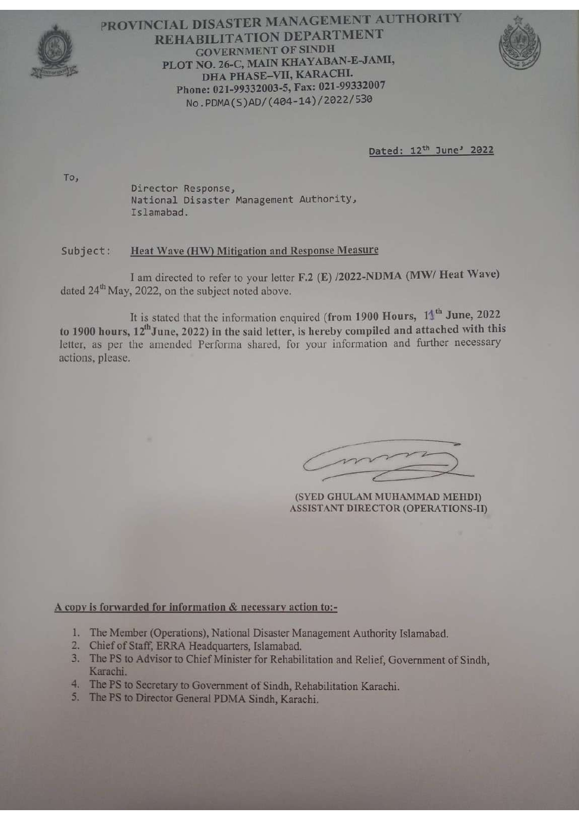

PROVINCIAL DISASTER MANAGEMENT AUTHORITY REHABILITATION DEPARTMENT **GOVERNMENT OF SINDH** PLOT NO. 26-C, MAIN KHAYABAN-E-JAMI, DHA PHASE-VII, KARACHI. Phone: 021-99332003-5, Fax: 021-99332007 No.PDMA(S)AD/(404-14)/2022/530



Dated: 12<sup>th</sup> June' 2022

To.

Director Response, National Disaster Management Authority, Islamabad.

## Heat Wave (HW) Mitigation and Response Measure Subject:

I am directed to refer to your letter F.2 (E) /2022-NDMA (MW/ Heat Wave) dated 24<sup>th</sup> May, 2022, on the subject noted above.

It is stated that the information enquired (from 1900 Hours, 11<sup>th</sup> June, 2022 to 1900 hours,  $12^{th}$ June, 2022) in the said letter, is hereby compiled and attached with this letter, as per the amended Performa shared, for your information and further necessary actions, please.

(SYED GHULAM MUHAMMAD MEHDI) **ASSISTANT DIRECTOR (OPERATIONS-II)** 

## A copy is forwarded for information & necessary action to:-

- 1. The Member (Operations), National Disaster Management Authority Islamabad.
- 2. Chief of Staff, ERRA Headquarters, Islamabad.
- 3. The PS to Advisor to Chief Minister for Rehabilitation and Relief, Government of Sindh, Karachi.
- 4. The PS to Secretary to Government of Sindh, Rehabilitation Karachi.
- 5. The PS to Director General PDMA Sindh, Karachi.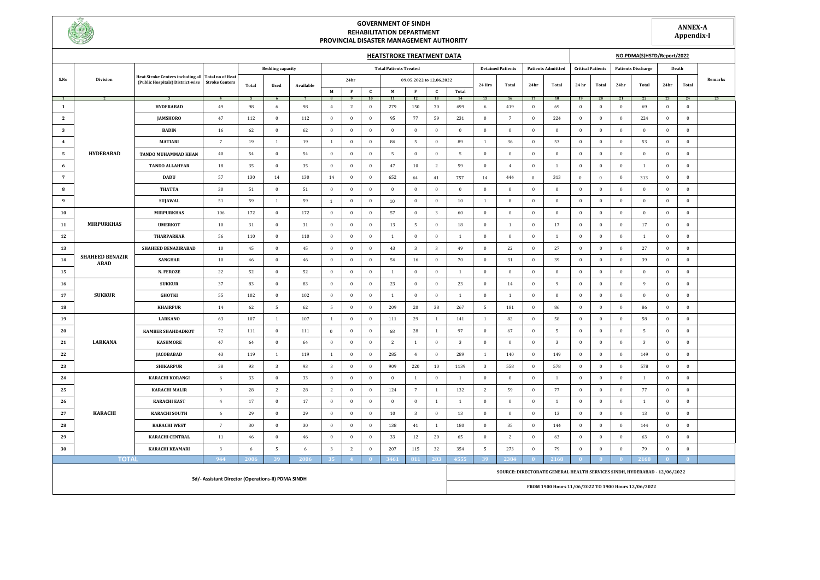

## **GOVERNMENT OF SINDH REHABILITATION DEPARTMENT PROVINCIAL DISASTER MANAGEMENT AUTHORITY**

**ANNEX-A Appendix-I**

| <b>HEATSTROKE TREATMENT DATA</b> |                                                                                                              |                                                                                        |                       |                         |                         |             |                               |                |                       |                                                                                                                                  | NO.PDMA(S)HSTD/Report/2022 |                  |                          |                  |                  |                                                       |                         |                           |                           |                |                         |                |                |    |
|----------------------------------|--------------------------------------------------------------------------------------------------------------|----------------------------------------------------------------------------------------|-----------------------|-------------------------|-------------------------|-------------|-------------------------------|----------------|-----------------------|----------------------------------------------------------------------------------------------------------------------------------|----------------------------|------------------|--------------------------|------------------|------------------|-------------------------------------------------------|-------------------------|---------------------------|---------------------------|----------------|-------------------------|----------------|----------------|----|
| S.No                             | Division                                                                                                     | Heat Stroke Centers including all Total no of Heat<br>(Public Hospitals) District-wise | <b>Stroke Centers</b> | <b>Bedding capacity</b> |                         |             | <b>Total Patients Treated</b> |                |                       |                                                                                                                                  |                            |                  | <b>Detained Patients</b> |                  |                  | <b>Patients Admittted</b><br><b>Critical Patients</b> |                         |                           | <b>Patients Discharge</b> |                | Death                   |                |                |    |
|                                  |                                                                                                              |                                                                                        |                       | Total                   | Used                    | Available   | 24 <sub>hr</sub>              |                |                       | 09.05.2022 to 12.06.2022                                                                                                         |                            |                  | 24 Hrs                   | Total            | 24hr             | Total                                                 | 24 hr                   | Total                     | 24 <sub>hr</sub>          | Total          | 24hr                    | Total          | Remarks        |    |
|                                  |                                                                                                              |                                                                                        |                       |                         |                         |             | $\mathbf M$                   | $\mathbf F$    | $\mathbf{C}$          | М                                                                                                                                | $\mathbf{F}$               | c                | Total                    |                  |                  |                                                       |                         |                           |                           |                |                         |                |                |    |
| $\mathbf{1}$<br>1                |                                                                                                              | $\mathbf{3}$<br><b>HYDERABAD</b>                                                       | 4<br>49               | $-5$<br>98              | 6<br>6                  | 98          | 8<br>$\overline{4}$           | 9<br>2         | <b>10</b><br>$\bf{0}$ | 11<br>279                                                                                                                        | 12<br>150                  | 13<br>70         | 14<br>499                | 15<br>6          | 16<br>419        | 17<br>$\bf{0}$                                        | <b>18</b><br>69         | <b>19</b><br>$\mathbf{0}$ | 20<br>$\mathbf{0}$        | 21<br>$\bf{0}$ | 22<br>69                | 23<br>$\bf{0}$ | 24<br>$\bf{0}$ | 25 |
| $\mathbf{2}$                     | $\overline{\mathbf{3}}$<br>$\overline{4}$<br><b>HYDERABAD</b><br>${\bf 5}$<br>6<br>$7\overline{ }$<br>8<br>9 | <b>JAMSHORO</b>                                                                        | 47                    | 112                     | $\mathbf{0}$            | 112         | $\overline{0}$                | $\overline{0}$ | $\bf{0}$              | 95                                                                                                                               | 77                         | 59               | 231                      | $\bf{0}$         | $\overline{7}$   | $\bf{0}$                                              | 224                     | $\bf{0}$                  | $\bf{0}$                  | $\mathbf{0}$   | 224                     | $\bf{0}$       | $\bf{0}$       |    |
|                                  |                                                                                                              | <b>BADIN</b>                                                                           | 16                    | 62                      | $\mathbf{0}$            | 62          | $\bf{0}$                      | $\overline{0}$ | $\overline{0}$        | $\bf 0$                                                                                                                          | $\bf{0}$                   | $\mathbf{0}$     | $\bf{0}$                 | $\bf{0}$         | $\bf{0}$         | $\bf{0}$                                              | $\bf{0}$                | $\bf{0}$                  | $\mathbf{0}$              | $\bf{0}$       | $\bf{0}$                | $\bf{0}$       | $\bf 0$        |    |
|                                  |                                                                                                              | <b>MATIARI</b>                                                                         | $7\overline{ }$       | 19                      | $\overline{1}$          | 19          | $\overline{1}$                | $\bf{0}$       | $\bf{0}$              | 84                                                                                                                               | 5                          | $\bf{0}$         | 89                       | 1                | 36               | $\bf{0}$                                              | 53                      | $\,0\,$                   | $\bf{0}$                  | $\bf{0}$       | 53                      | $\bf{0}$       | $\bf{0}$       |    |
|                                  |                                                                                                              | TANDO MUHAMMAD KHAN                                                                    | 40                    | 54                      | $\bf 0$                 | 54          | $\bf{0}$                      | $\bf{0}$       | $\bf{0}$              | $\overline{5}$                                                                                                                   | $\,0\,$                    | $\bf{0}$         | 5                        | $\boldsymbol{0}$ | $\boldsymbol{0}$ | $\bf{0}$                                              | $\,0\,$                 | $\,0\,$                   | $\bf{0}$                  | $\bf{0}$       | $\boldsymbol{0}$        | $\,0\,$        | $\bf 0$        |    |
|                                  |                                                                                                              | TANDO ALLAHYAR                                                                         | 18                    | 35                      | $\bf{0}$                | 35          | $\bf{0}$                      | $\bf{0}$       | $\bf{0}$              | 47                                                                                                                               | 10                         | $\overline{c}$   | 59                       | $\bf{0}$         | $\overline{4}$   | $\bf{0}$                                              | $\mathbf{1}$            | $\,$ 0                    | $\boldsymbol{0}$          | $\bf{0}$       | $\overline{1}$          | $\,0\,$        | $\bf{0}$       |    |
|                                  |                                                                                                              | <b>DADU</b>                                                                            | 57                    | 130                     | 14                      | 130         | 14                            | $\bf{0}$       | $\bf{0}$              | 652                                                                                                                              | 64                         | 41               | 757                      | 14               | 444              | $\bf{0}$                                              | 313                     | $\bf{0}$                  | $\bf{0}$                  | $\bf{0}$       | 313                     | $\bf{0}$       | $\mathbf 0$    |    |
|                                  |                                                                                                              | <b>THATTA</b>                                                                          | 30                    | 51                      | $\bf 0$                 | 51          | $\bf{0}$                      | $\bf{0}$       | $\bf{0}$              | $\bf{0}$                                                                                                                         | $\bf{0}$                   | $\boldsymbol{0}$ | $\bf{0}$                 | $\bf{0}$         | $\boldsymbol{0}$ | $\bf{0}$                                              | $\,0\,$                 | $\bf{0}$                  | $\boldsymbol{0}$          | $\bf{0}$       | $\bf{0}$                | $\,0\,$        | $\bf{0}$       |    |
|                                  |                                                                                                              | SUJAWAL                                                                                | 51                    | 59                      | $\overline{1}$          | 59          | $\overline{1}$                | $\bf{0}$       | $\bf{0}$              | $10\,$                                                                                                                           | $\bf{0}$                   | $\boldsymbol{0}$ | 10                       | $\mathbf{1}$     | 8                | $\bf{0}$                                              | $\bf{0}$                | $\bf{0}$                  | $\boldsymbol{0}$          | $\bf{0}$       | $\boldsymbol{0}$        | $\bf{0}$       | $\bf{0}$       |    |
| 10                               | <b>MIRPURKHAS</b>                                                                                            | <b>MIRPURKHAS</b>                                                                      | 106                   | 172                     | $\,$ 0 $\,$             | 172         | $\,$ 0                        | $\overline{0}$ | $\overline{0}$        | 57                                                                                                                               | $\bf{0}$                   | $\sqrt{3}$       | 60                       | $\bf 0$          | $\bf 0$          | $\bf{0}$                                              | $\bf{0}$                | $\overline{0}$            | $\mathbf{0}$              | $\bf{0}$       | $\overline{0}$          | $\mathbf{0}$   | $\mathbf 0$    |    |
| 11                               |                                                                                                              | <b>UMERKOT</b>                                                                         | 10                    | 31                      | $\boldsymbol{0}$        | 31          | $\bf{0}$                      | $\overline{0}$ | $\bf{0}$              | 13                                                                                                                               | 5                          | $\bf{0}$         | 18                       | $\bf{0}$         | $\mathbf{1}$     | $\mathbf{0}$                                          | 17                      | $\bf{0}$                  | $\boldsymbol{0}$          | $\bf{0}$       | 17                      | $\mathbf{0}$   | $\bf{0}$       |    |
| 12                               |                                                                                                              | THARPARKAR                                                                             | 56                    | 110                     | $\bf 0$                 | 110         | $\bf{0}$                      | $\bf{0}$       | $\,0\,$               | <sup>1</sup>                                                                                                                     | $\,0\,$                    | $\bf 0$          | $\mathbf{1}$             | $\bf 0$          | $\bf 0$          | $\bf{0}$                                              | $\mathbf{1}$            | $\overline{0}$            | $\boldsymbol{0}$          | $\bf{0}$       | $\overline{1}$          | $\bf{0}$       | $\bf{0}$       |    |
| 13                               | <b>SHAHEED BENAZIR</b><br>ABAD                                                                               | SHAHEED BENAZIRABAD                                                                    | 10                    | 45                      | $\bf 0$                 | 45          | $\bf{0}$                      | $\bf{0}$       | $\bf{0}$              | 43                                                                                                                               | 3                          | 3                | 49                       | $\bf{0}$         | 22               | $\mathbf{0}$                                          | 27                      | $\bf{0}$                  | $\mathbf{0}$              | $\bf{0}$       | 27                      | $\bf{0}$       | $\bf{0}$       |    |
| 14                               |                                                                                                              | <b>SANGHAR</b>                                                                         | 10                    | 46                      | $\bf 0$                 | 46          | $\bf{0}$                      | $\bf{0}$       | $\overline{0}$        | 54                                                                                                                               | 16                         | $\bf{0}$         | 70                       | $\bf{0}$         | 31               | $\bf{0}$                                              | 39                      | $\overline{0}$            | $\pmb{0}$                 | $\mathbf{0}$   | 39                      | $\bf{0}$       | $\,0\,$        |    |
| 15                               |                                                                                                              | <b>N. FEROZE</b>                                                                       | 22                    | 52                      | $\bf{0}$                | 52          | $\bf{0}$                      | $\bf{0}$       | $\bf{0}$              | $\mathbf{1}$                                                                                                                     | $\bf{0}$                   | $\bf{0}$         | $\mathbf{1}$             | $\bf{0}$         | $\bf{0}$         | $\bf{0}$                                              | $\bf{0}$                | $\bf{0}$                  | $\bf{0}$                  | $\bf{0}$       | $\overline{0}$          | $\bf{0}$       | $\mathbf{0}$   |    |
| 16                               | <b>SUKKUR</b>                                                                                                | <b>SUKKUR</b>                                                                          | 37                    | 83                      | $\bf{0}$                | 83          | $\bf{0}$                      | $\bf{0}$       | $\overline{0}$        | 23                                                                                                                               | $\bf{0}$                   | $\boldsymbol{0}$ | 23                       | $\bf{0}$         | 14               | $\bf{0}$                                              | 9                       | $\overline{0}$            | $\mathbf{0}$              | $\mathbf{0}$   | 9                       | $\bf{0}$       | $\,0\,$        |    |
| 17                               |                                                                                                              | <b>GHOTKI</b>                                                                          | 55                    | 102                     | $\bf 0$                 | 102         | $\,0\,$                       | $\overline{0}$ | $\bf{0}$              | $\mathbf{1}$                                                                                                                     | $\bf{0}$                   | $\boldsymbol{0}$ | $\mathbf{1}$             | $\boldsymbol{0}$ | $\mathbf{1}$     | $\mathbf{0}$                                          | $\bf{0}$                | $\bf 0$                   | $\bf{0}$                  | $\mathbf{0}$   | $\bf{0}$                | $\bf 0$        | $\,0\,$        |    |
| 18                               |                                                                                                              | <b>KHAIRPUR</b>                                                                        | 14                    | 62                      | 5                       | 62          | $\overline{5}$                | $\bf{0}$       | $\mathbf{0}$          | 209                                                                                                                              | 20                         | 38               | 267                      | 5                | 181              | $\bf{0}$                                              | 86                      | $\bf{0}$                  | $\bf{0}$                  | $\bf{0}$       | 86                      | $\bf{0}$       | $\,0\,$        |    |
| 19                               |                                                                                                              | <b>LARKANO</b>                                                                         | 63                    | 107                     | <sup>1</sup>            | 107         | <sup>1</sup>                  | $\bf{0}$       | $\bf{0}$              | 111                                                                                                                              | 29                         | $\mathbf{1}$     | 141                      | $\mathbf{1}$     | 82               | $\bf{0}$                                              | 58                      | $\bf{0}$                  | $\bf{0}$                  | $\mathbf{0}$   | 58                      | $\bf 0$        | $\,0\,$        |    |
| 20                               |                                                                                                              | <b>KAMBER SHAHDADKOT</b>                                                               | 72                    | 111                     | $\bf{0}$                | 111         | $\mathbf 0$                   | $\bf{0}$       | $\mathbf{0}$          | 68                                                                                                                               | 28                         | $\mathbf{1}$     | 97                       | $\bf{0}$         | 67               | $\bf{0}$                                              | $\overline{5}$          | $\mathbf{0}$              | $\bf{0}$                  | $\bf{0}$       | 5                       | $\bf{0}$       | $\mathbf{0}$   |    |
| 21                               | <b>LARKANA</b>                                                                                               | <b>KASHMORE</b>                                                                        | 47                    | 64                      | $\bf 0$                 | 64          | $\bf{0}$                      | $\bf{0}$       | $\bf{0}$              | $\overline{2}$                                                                                                                   | <sup>1</sup>               | $\boldsymbol{0}$ | $\overline{3}$           | $\bf{0}$         | $\bf{0}$         | $\bf{0}$                                              | $\overline{\mathbf{3}}$ | $\bf{0}$                  | $\bf{0}$                  | $\bf{0}$       | $\overline{\mathbf{3}}$ | $\bf{0}$       | $\bf{0}$       |    |
| 22                               |                                                                                                              | <b>JACOBABAD</b>                                                                       | 43                    | 119                     | $\overline{1}$          | 119         | $\overline{1}$                | $\bf{0}$       | $\overline{0}$        | 285                                                                                                                              | $\overline{4}$             | $\mathbf{0}$     | 289                      | $\mathbf{1}$     | 140              | $\bf{0}$                                              | 149                     | $\mathbf{0}$              | $\bf{0}$                  | $\bf{0}$       | 149                     | $\bf{0}$       | $\mathbf{0}$   |    |
| 23                               |                                                                                                              | <b>SHIKARPUR</b>                                                                       | 38                    | 93                      | $\overline{\mathbf{3}}$ | 93          | $\overline{\mathbf{3}}$       | $\bf{0}$       | $\bf{0}$              | 909                                                                                                                              | 220                        | 10               | 1139                     | $\overline{3}$   | 558              | $\bf{0}$                                              | 578                     | $\,0\,$                   | $\bf{0}$                  | $\bf{0}$       | 578                     | $\bf{0}$       | $\bf{0}$       |    |
| $\bf 24$                         | <b>KARACHI</b>                                                                                               | <b>KARACHI KORANGI</b>                                                                 | 6                     | 33                      | $\bf 0$                 | 33          | $\,0\,$                       | $\bf{0}$       | $\bf 0$               | $\bf{0}$                                                                                                                         | $\mathbf{1}$               | $\mathbf 0$      | $\mathbf{1}$             | $\boldsymbol{0}$ | $\boldsymbol{0}$ | $\bf 0$                                               | $\mathbf{1}$            | $\,0\,$                   | $\boldsymbol{0}$          | $\,0\,$        | -1                      | $\,0\,$        | $\bf{0}$       |    |
| 25                               |                                                                                                              | <b>KARACHI MALIR</b>                                                                   | 9                     | 28                      | $\overline{2}$          | $\sqrt{28}$ | $\overline{2}$                | $\bf{0}$       | $\bf 0$               | 124                                                                                                                              | 7                          | $\mathbf{1}$     | 132                      | $\overline{c}$   | 59               | $\bf{0}$                                              | 77                      | $\bf{0}$                  | $\boldsymbol{0}$          | $\bf{0}$       | 77                      | $\bf{0}$       | $\,0\,$        |    |
| 26                               |                                                                                                              | <b>KARACHI EAST</b>                                                                    | $\overline{4}$        | 17                      | $\bf 0$                 | 17          | $\bf{0}$                      | $\bf{0}$       | $\bf{0}$              | $\bf{0}$                                                                                                                         | $\bf{0}$                   | $\mathbf{1}$     | $\mathbf{1}$             | $\bf{0}$         | $\bf{0}$         | $\bf{0}$                                              | $\mathbf{1}$            | $\bf{0}$                  | $\bf{0}$                  | $\bf{0}$       | -1                      | $\bf{0}$       | $\bf{0}$       |    |
| 27                               |                                                                                                              | <b>KARACHI SOUTH</b>                                                                   | 6                     | 29                      | $\mathbf{0}$            | 29          | $\bf{0}$                      | $\bf{0}$       | $\bf{0}$              | 10                                                                                                                               | 3                          | $\bf{0}$         | 13                       | $\bf{0}$         | $\bf{0}$         | $\bf{0}$                                              | 13                      | $\bf{0}$                  | $\bf{0}$                  | $\overline{0}$ | 13                      | $\mathbf{0}$   | $\mathbf{0}$   |    |
| 28                               |                                                                                                              | <b>KARACHI WEST</b>                                                                    | $7\phantom{.0}$       | 30                      | $\mathbf{0}$            | 30          | $\bf{0}$                      | $\bf{0}$       | $\mathbf{0}$          | 138                                                                                                                              | 41                         | 1                | 180                      | $\bf{0}$         | 35               | $\bf{0}$                                              | 144                     | $\mathbf{0}$              | $\mathbf{0}$              | $\mathbf{0}$   | 144                     | $\bf{0}$       | $\bf 0$        |    |
| 29                               |                                                                                                              | KARACHI CENTRAL                                                                        | 11                    | 46                      | $\mathbf{0}$            | 46          | $\bf{0}$                      | $\bf{0}$       | $\bf 0$               | 33                                                                                                                               | 12                         | 20               | 65                       | $\bf{0}$         | $\overline{2}$   | $\bf{0}$                                              | 63                      | $\mathbf{0}$              | $\mathbf{0}$              | $\mathbf{0}$   | 63                      | $\bf{0}$       | $\bf 0$        |    |
| 30                               |                                                                                                              | <b>KARACHI KEAMARI</b>                                                                 | $\mathbf{3}$          | 6                       | 5                       | 6           | $\overline{\mathbf{3}}$       | 2              | $\mathbf{0}$          | 207                                                                                                                              | 115                        | 32               | 354                      | 5                | 273              | $\Omega$                                              | 79                      | $\mathbf{0}$              | $\bf{0}$                  | $\mathbf{0}$   | 79                      | $\bf{0}$       | $\bf{0}$       |    |
|                                  | <b>TOTA</b>                                                                                                  |                                                                                        | 944                   | 200                     | 39                      | 200         | 35                            |                |                       | 3461                                                                                                                             | 811                        |                  | 4555                     | 39               | 2384             |                                                       | 2168                    |                           |                           |                | 216                     |                |                |    |
|                                  | Sd/- Assistant Director (Operations-II) PDMA SINDH                                                           |                                                                                        |                       |                         |                         |             |                               |                |                       | SOURCE: DIRECTORATE GENERAL HEALTH SERVICES SINDH, HYDERABAD - 12/06/2022<br>FROM 1900 Hours 11/06/2022 TO 1900 Hours 12/06/2022 |                            |                  |                          |                  |                  |                                                       |                         |                           |                           |                |                         |                |                |    |
|                                  |                                                                                                              |                                                                                        |                       |                         |                         |             |                               |                |                       |                                                                                                                                  |                            |                  |                          |                  |                  |                                                       |                         |                           |                           |                |                         |                |                |    |